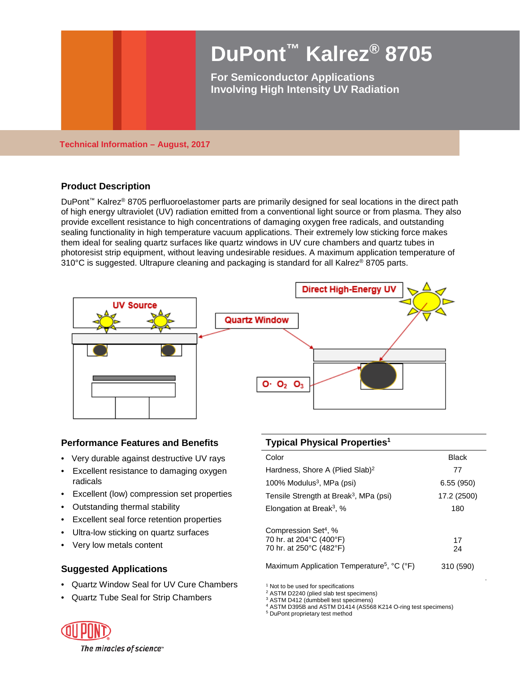

**Technical Information – August, 2017**

# **Product Description**

DuPont™ Kalrez® 8705 perfluoroelastomer parts are primarily designed for seal locations in the direct path of high energy ultraviolet (UV) radiation emitted from a conventional light source or from plasma. They also provide excellent resistance to high concentrations of damaging oxygen free radicals, and outstanding sealing functionality in high temperature vacuum applications. Their extremely low sticking force makes them ideal for sealing quartz surfaces like quartz windows in UV cure chambers and quartz tubes in photoresist strip equipment, without leaving undesirable residues. A maximum application temperature of 310°C is suggested. Ultrapure cleaning and packaging is standard for all Kalrez® 8705 parts.



## **Performance Features and Benefits**

- Very durable against destructive UV rays
- Excellent resistance to damaging oxygen radicals
- Excellent (low) compression set properties
- Outstanding thermal stability
- Excellent seal force retention properties
- Ultra-low sticking on quartz surfaces
- Very low metals content

## **Suggested Applications**

- Quartz Window Seal for UV Cure Chambers
- Quartz Tube Seal for Strip Chambers

| <b>Typical Physical Properties<sup>1</sup></b>                                         |             |  |
|----------------------------------------------------------------------------------------|-------------|--|
| Color                                                                                  | Black       |  |
| Hardness, Shore A (Plied Slab) <sup>2</sup>                                            | 77          |  |
| 100% Modulus <sup>3</sup> , MPa (psi)                                                  | 6.55(950)   |  |
| Tensile Strength at Break <sup>3</sup> , MPa (psi)                                     | 17.2 (2500) |  |
| Elongation at Break <sup>3</sup> , %                                                   | 180         |  |
| Compression Set <sup>4</sup> , %<br>70 hr. at 204°C (400°F)<br>70 hr. at 250°C (482°F) | 17<br>24    |  |
| Maximum Application Temperature <sup>5</sup> , °C (°F)                                 | 310 (590)   |  |

<sup>1</sup> Not to be used for specifications

<sup>4</sup> ASTM D395B and ASTM D1414 (AS568 K214 O-ring test specimens)

<sup>5</sup> DuPont proprietary test method



 $2$  ASTM D2240 (plied slab test specimens)<br> $3$  ASTM D412 (dumbbell test specimens)